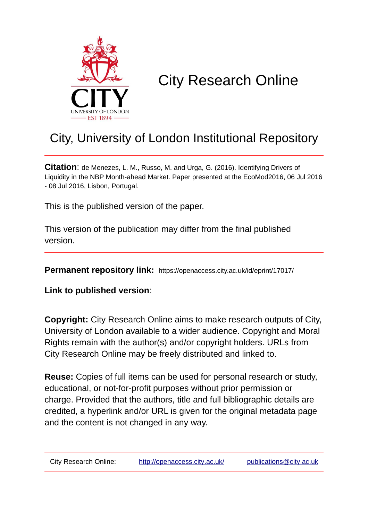

# City Research Online

# City, University of London Institutional Repository

**Citation**: de Menezes, L. M., Russo, M. and Urga, G. (2016). Identifying Drivers of Liquidity in the NBP Month-ahead Market. Paper presented at the EcoMod2016, 06 Jul 2016 - 08 Jul 2016, Lisbon, Portugal.

This is the published version of the paper.

This version of the publication may differ from the final published version.

**Permanent repository link:** https://openaccess.city.ac.uk/id/eprint/17017/

**Link to published version**:

**Copyright:** City Research Online aims to make research outputs of City, University of London available to a wider audience. Copyright and Moral Rights remain with the author(s) and/or copyright holders. URLs from City Research Online may be freely distributed and linked to.

**Reuse:** Copies of full items can be used for personal research or study, educational, or not-for-profit purposes without prior permission or charge. Provided that the authors, title and full bibliographic details are credited, a hyperlink and/or URL is given for the original metadata page and the content is not changed in any way.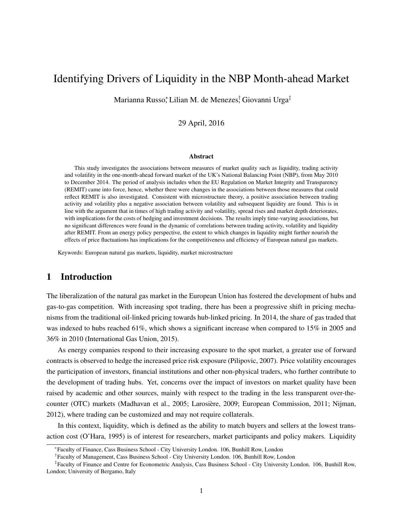# Identifying Drivers of Liquidity in the NBP Month-ahead Market

Marianna Russo,\* Lilian M. de Menezes<sup>†</sup> Giovanni Urga<sup>‡</sup>

29 April, 2016

#### Abstract

This study investigates the associations between measures of market quality such as liquidity, trading activity and volatility in the one-month-ahead forward market of the UK's National Balancing Point (NBP), from May 2010 to December 2014. The period of analysis includes when the EU Regulation on Market Integrity and Transparency (REMIT) came into force, hence, whether there were changes in the associations between those measures that could reflect REMIT is also investigated. Consistent with microstructure theory, a positive association between trading activity and volatility plus a negative association between volatility and subsequent liquidity are found. This is in line with the argument that in times of high trading activity and volatility, spread rises and market depth deteriorates, with implications for the costs of hedging and investment decisions. The results imply time-varying associations, but no significant differences were found in the dynamic of correlations between trading activity, volatility and liquidity after REMIT. From an energy policy perspective, the extent to which changes in liquidity might further nourish the effects of price fluctuations has implications for the competitiveness and efficiency of European natural gas markets.

Keywords: European natural gas markets, liquidity, market microstructure

# 1 Introduction

The liberalization of the natural gas market in the European Union has fostered the development of hubs and gas-to-gas competition. With increasing spot trading, there has been a progressive shift in pricing mechanisms from the traditional oil-linked pricing towards hub-linked pricing. In 2014, the share of gas traded that was indexed to hubs reached 61%, which shows a significant increase when compared to 15% in 2005 and 36% in 2010 (International Gas Union, 2015).

As energy companies respond to their increasing exposure to the spot market, a greater use of forward contracts is observed to hedge the increased price risk exposure (Pilipovic, 2007). Price volatility encourages the participation of investors, financial institutions and other non-physical traders, who further contribute to the development of trading hubs. Yet, concerns over the impact of investors on market quality have been raised by academic and other sources, mainly with respect to the trading in the less transparent over-thecounter (OTC) markets (Madhavan et al., 2005; Larosière, 2009; European Commission, 2011; Nijman, 2012), where trading can be customized and may not require collaterals.

In this context, liquidity, which is defined as the ability to match buyers and sellers at the lowest transaction cost (O'Hara, 1995) is of interest for researchers, market participants and policy makers. Liquidity

<sup>∗</sup> Faculty of Finance, Cass Business School - City University London. 106, Bunhill Row, London

<sup>†</sup> Faculty of Management, Cass Business School - City University London. 106, Bunhill Row, London

<sup>‡</sup> Faculty of Finance and Centre for Econometric Analysis, Cass Business School - City University London. 106, Bunhill Row, London; University of Bergamo, Italy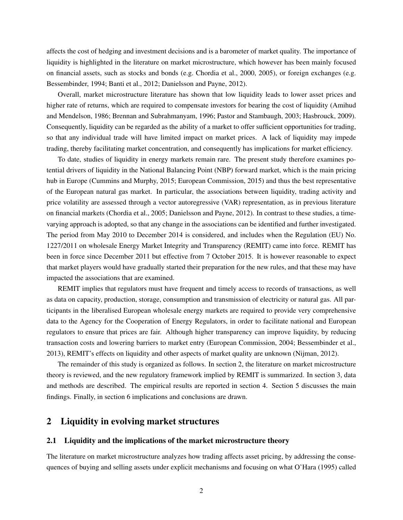affects the cost of hedging and investment decisions and is a barometer of market quality. The importance of liquidity is highlighted in the literature on market microstructure, which however has been mainly focused on financial assets, such as stocks and bonds (e.g. Chordia et al., 2000, 2005), or foreign exchanges (e.g. Bessembinder, 1994; Banti et al., 2012; Danielsson and Payne, 2012).

Overall, market microstructure literature has shown that low liquidity leads to lower asset prices and higher rate of returns, which are required to compensate investors for bearing the cost of liquidity (Amihud and Mendelson, 1986; Brennan and Subrahmanyam, 1996; Pastor and Stambaugh, 2003; Hasbrouck, 2009). Consequently, liquidity can be regarded as the ability of a market to offer sufficient opportunities for trading, so that any individual trade will have limited impact on market prices. A lack of liquidity may impede trading, thereby facilitating market concentration, and consequently has implications for market efficiency.

To date, studies of liquidity in energy markets remain rare. The present study therefore examines potential drivers of liquidity in the National Balancing Point (NBP) forward market, which is the main pricing hub in Europe (Cummins and Murphy, 2015; European Commission, 2015) and thus the best representative of the European natural gas market. In particular, the associations between liquidity, trading activity and price volatility are assessed through a vector autoregressive (VAR) representation, as in previous literature on financial markets (Chordia et al., 2005; Danielsson and Payne, 2012). In contrast to these studies, a timevarying approach is adopted, so that any change in the associations can be identified and further investigated. The period from May 2010 to December 2014 is considered, and includes when the Regulation (EU) No. 1227/2011 on wholesale Energy Market Integrity and Transparency (REMIT) came into force. REMIT has been in force since December 2011 but effective from 7 October 2015. It is however reasonable to expect that market players would have gradually started their preparation for the new rules, and that these may have impacted the associations that are examined.

REMIT implies that regulators must have frequent and timely access to records of transactions, as well as data on capacity, production, storage, consumption and transmission of electricity or natural gas. All participants in the liberalised European wholesale energy markets are required to provide very comprehensive data to the Agency for the Cooperation of Energy Regulators, in order to facilitate national and European regulators to ensure that prices are fair. Although higher transparency can improve liquidity, by reducing transaction costs and lowering barriers to market entry (European Commission, 2004; Bessembinder et al., 2013), REMIT's effects on liquidity and other aspects of market quality are unknown (Nijman, 2012).

The remainder of this study is organized as follows. In section 2, the literature on market microstructure theory is reviewed, and the new regulatory framework implied by REMIT is summarized. In section 3, data and methods are described. The empirical results are reported in section 4. Section 5 discusses the main findings. Finally, in section 6 implications and conclusions are drawn.

# 2 Liquidity in evolving market structures

### 2.1 Liquidity and the implications of the market microstructure theory

The literature on market microstructure analyzes how trading affects asset pricing, by addressing the consequences of buying and selling assets under explicit mechanisms and focusing on what O'Hara (1995) called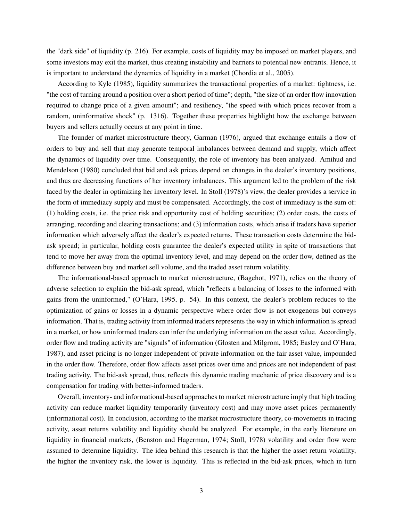the "dark side" of liquidity (p. 216). For example, costs of liquidity may be imposed on market players, and some investors may exit the market, thus creating instability and barriers to potential new entrants. Hence, it is important to understand the dynamics of liquidity in a market (Chordia et al., 2005).

According to Kyle (1985), liquidity summarizes the transactional properties of a market: tightness, i.e. "the cost of turning around a position over a short period of time"; depth, "the size of an order flow innovation required to change price of a given amount"; and resiliency, "the speed with which prices recover from a random, uninformative shock" (p. 1316). Together these properties highlight how the exchange between buyers and sellers actually occurs at any point in time.

The founder of market microstructure theory, Garman (1976), argued that exchange entails a flow of orders to buy and sell that may generate temporal imbalances between demand and supply, which affect the dynamics of liquidity over time. Consequently, the role of inventory has been analyzed. Amihud and Mendelson (1980) concluded that bid and ask prices depend on changes in the dealer's inventory positions, and thus are decreasing functions of her inventory imbalances. This argument led to the problem of the risk faced by the dealer in optimizing her inventory level. In Stoll (1978)'s view, the dealer provides a service in the form of immediacy supply and must be compensated. Accordingly, the cost of immediacy is the sum of: (1) holding costs, i.e. the price risk and opportunity cost of holding securities; (2) order costs, the costs of arranging, recording and clearing transactions; and (3) information costs, which arise if traders have superior information which adversely affect the dealer's expected returns. These transaction costs determine the bidask spread; in particular, holding costs guarantee the dealer's expected utility in spite of transactions that tend to move her away from the optimal inventory level, and may depend on the order flow, defined as the difference between buy and market sell volume, and the traded asset return volatility.

The informational-based approach to market microstructure, (Bagehot, 1971), relies on the theory of adverse selection to explain the bid-ask spread, which "reflects a balancing of losses to the informed with gains from the uninformed," (O'Hara, 1995, p. 54). In this context, the dealer's problem reduces to the optimization of gains or losses in a dynamic perspective where order flow is not exogenous but conveys information. That is, trading activity from informed traders represents the way in which information is spread in a market, or how uninformed traders can infer the underlying information on the asset value. Accordingly, order flow and trading activity are "signals" of information (Glosten and Milgrom, 1985; Easley and O'Hara, 1987), and asset pricing is no longer independent of private information on the fair asset value, impounded in the order flow. Therefore, order flow affects asset prices over time and prices are not independent of past trading activity. The bid-ask spread, thus, reflects this dynamic trading mechanic of price discovery and is a compensation for trading with better-informed traders.

Overall, inventory- and informational-based approaches to market microstructure imply that high trading activity can reduce market liquidity temporarily (inventory cost) and may move asset prices permanently (informational cost). In conclusion, according to the market microstructure theory, co-movements in trading activity, asset returns volatility and liquidity should be analyzed. For example, in the early literature on liquidity in financial markets, (Benston and Hagerman, 1974; Stoll, 1978) volatility and order flow were assumed to determine liquidity. The idea behind this research is that the higher the asset return volatility, the higher the inventory risk, the lower is liquidity. This is reflected in the bid-ask prices, which in turn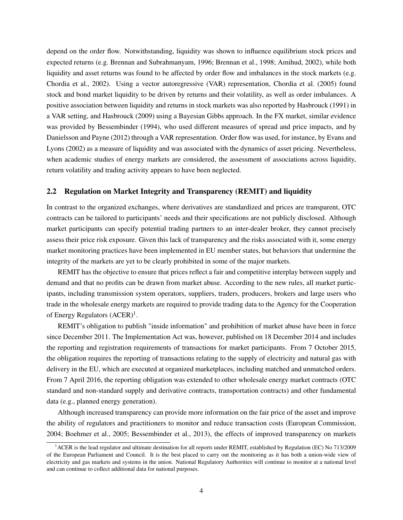depend on the order flow. Notwithstanding, liquidity was shown to influence equilibrium stock prices and expected returns (e.g. Brennan and Subrahmanyam, 1996; Brennan et al., 1998; Amihud, 2002), while both liquidity and asset returns was found to be affected by order flow and imbalances in the stock markets (e.g. Chordia et al., 2002). Using a vector autoregressive (VAR) representation, Chordia et al. (2005) found stock and bond market liquidity to be driven by returns and their volatility, as well as order imbalances. A positive association between liquidity and returns in stock markets was also reported by Hasbrouck (1991) in a VAR setting, and Hasbrouck (2009) using a Bayesian Gibbs approach. In the FX market, similar evidence was provided by Bessembinder (1994), who used different measures of spread and price impacts, and by Danielsson and Payne (2012) through a VAR representation. Order flow was used, for instance, by Evans and Lyons (2002) as a measure of liquidity and was associated with the dynamics of asset pricing. Nevertheless, when academic studies of energy markets are considered, the assessment of associations across liquidity, return volatility and trading activity appears to have been neglected.

#### 2.2 Regulation on Market Integrity and Transparency (REMIT) and liquidity

In contrast to the organized exchanges, where derivatives are standardized and prices are transparent, OTC contracts can be tailored to participants' needs and their specifications are not publicly disclosed. Although market participants can specify potential trading partners to an inter-dealer broker, they cannot precisely assess their price risk exposure. Given this lack of transparency and the risks associated with it, some energy market monitoring practices have been implemented in EU member states, but behaviors that undermine the integrity of the markets are yet to be clearly prohibited in some of the major markets.

REMIT has the objective to ensure that prices reflect a fair and competitive interplay between supply and demand and that no profits can be drawn from market abuse. According to the new rules, all market participants, including transmission system operators, suppliers, traders, producers, brokers and large users who trade in the wholesale energy markets are required to provide trading data to the Agency for the Cooperation of Energy Regulators  $(ACER)^1$ .

REMIT's obligation to publish "inside information" and prohibition of market abuse have been in force since December 2011. The Implementation Act was, however, published on 18 December 2014 and includes the reporting and registration requirements of transactions for market participants. From 7 October 2015, the obligation requires the reporting of transactions relating to the supply of electricity and natural gas with delivery in the EU, which are executed at organized marketplaces, including matched and unmatched orders. From 7 April 2016, the reporting obligation was extended to other wholesale energy market contracts (OTC standard and non-standard supply and derivative contracts, transportation contracts) and other fundamental data (e.g., planned energy generation).

Although increased transparency can provide more information on the fair price of the asset and improve the ability of regulators and practitioners to monitor and reduce transaction costs (European Commission, 2004; Boehmer et al., 2005; Bessembinder et al., 2013), the effects of improved transparency on markets

<sup>&</sup>lt;sup>1</sup> ACER is the lead regulator and ultimate destination for all reports under REMIT, established by Regulation (EC) No 713/2009 of the European Parliament and Council. It is the best placed to carry out the monitoring as it has both a union-wide view of electricity and gas markets and systems in the union. National Regulatory Authorities will continue to monitor at a national level and can continue to collect additional data for national purposes.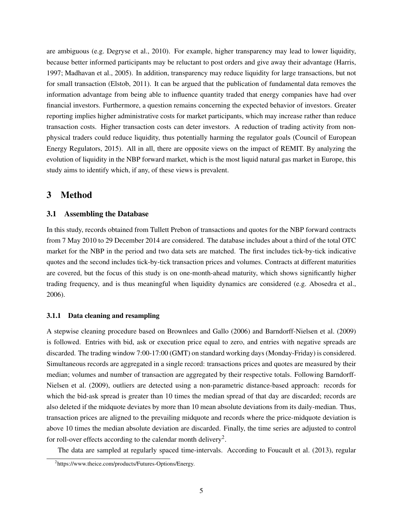are ambiguous (e.g. Degryse et al., 2010). For example, higher transparency may lead to lower liquidity, because better informed participants may be reluctant to post orders and give away their advantage (Harris, 1997; Madhavan et al., 2005). In addition, transparency may reduce liquidity for large transactions, but not for small transaction (Elstob, 2011). It can be argued that the publication of fundamental data removes the information advantage from being able to influence quantity traded that energy companies have had over financial investors. Furthermore, a question remains concerning the expected behavior of investors. Greater reporting implies higher administrative costs for market participants, which may increase rather than reduce transaction costs. Higher transaction costs can deter investors. A reduction of trading activity from nonphysical traders could reduce liquidity, thus potentially harming the regulator goals (Council of European Energy Regulators, 2015). All in all, there are opposite views on the impact of REMIT. By analyzing the evolution of liquidity in the NBP forward market, which is the most liquid natural gas market in Europe, this study aims to identify which, if any, of these views is prevalent.

# 3 Method

# 3.1 Assembling the Database

In this study, records obtained from Tullett Prebon of transactions and quotes for the NBP forward contracts from 7 May 2010 to 29 December 2014 are considered. The database includes about a third of the total OTC market for the NBP in the period and two data sets are matched. The first includes tick-by-tick indicative quotes and the second includes tick-by-tick transaction prices and volumes. Contracts at different maturities are covered, but the focus of this study is on one-month-ahead maturity, which shows significantly higher trading frequency, and is thus meaningful when liquidity dynamics are considered (e.g. Abosedra et al., 2006).

#### 3.1.1 Data cleaning and resampling

A stepwise cleaning procedure based on Brownlees and Gallo (2006) and Barndorff-Nielsen et al. (2009) is followed. Entries with bid, ask or execution price equal to zero, and entries with negative spreads are discarded. The trading window 7:00-17:00 (GMT) on standard working days (Monday-Friday) is considered. Simultaneous records are aggregated in a single record: transactions prices and quotes are measured by their median; volumes and number of transaction are aggregated by their respective totals. Following Barndorff-Nielsen et al. (2009), outliers are detected using a non-parametric distance-based approach: records for which the bid-ask spread is greater than 10 times the median spread of that day are discarded; records are also deleted if the midquote deviates by more than 10 mean absolute deviations from its daily-median. Thus, transaction prices are aligned to the prevailing midquote and records where the price-midquote deviation is above 10 times the median absolute deviation are discarded. Finally, the time series are adjusted to control for roll-over effects according to the calendar month delivery<sup>2</sup>.

The data are sampled at regularly spaced time-intervals. According to Foucault et al. (2013), regular

<sup>&</sup>lt;sup>2</sup>https://www.theice.com/products/Futures-Options/Energy.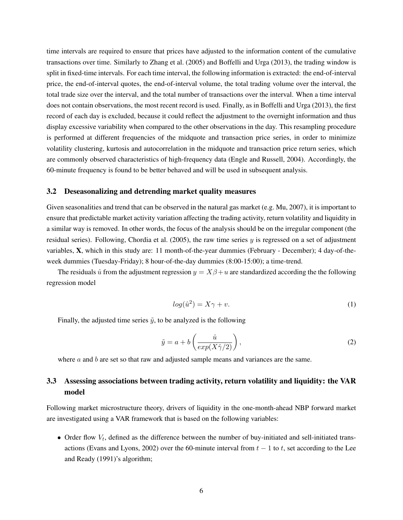time intervals are required to ensure that prices have adjusted to the information content of the cumulative transactions over time. Similarly to Zhang et al. (2005) and Boffelli and Urga (2013), the trading window is split in fixed-time intervals. For each time interval, the following information is extracted: the end-of-interval price, the end-of-interval quotes, the end-of-interval volume, the total trading volume over the interval, the total trade size over the interval, and the total number of transactions over the interval. When a time interval does not contain observations, the most recent record is used. Finally, as in Boffelli and Urga (2013), the first record of each day is excluded, because it could reflect the adjustment to the overnight information and thus display excessive variability when compared to the other observations in the day. This resampling procedure is performed at different frequencies of the midquote and transaction price series, in order to minimize volatility clustering, kurtosis and autocorrelation in the midquote and transaction price return series, which are commonly observed characteristics of high-frequency data (Engle and Russell, 2004). Accordingly, the 60-minute frequency is found to be better behaved and will be used in subsequent analysis.

#### 3.2 Deseasonalizing and detrending market quality measures

Given seasonalities and trend that can be observed in the natural gas market (e.g. Mu, 2007), it is important to ensure that predictable market activity variation affecting the trading activity, return volatility and liquidity in a similar way is removed. In other words, the focus of the analysis should be on the irregular component (the residual series). Following, Chordia et al. (2005), the raw time series  $y$  is regressed on a set of adjustment variables, X, which in this study are: 11 month-of-the-year dummies (February - December); 4 day-of-theweek dummies (Tuesday-Friday); 8 hour-of-the-day dummies (8:00-15:00); a time-trend.

The residuals  $\hat{u}$  from the adjustment regression  $y = X\beta + u$  are standardized according the the following regression model

$$
log(\hat{u}^2) = X\gamma + v.\tag{1}
$$

Finally, the adjusted time series  $\tilde{y}$ , to be analyzed is the following

$$
\tilde{y} = a + b \left( \frac{\hat{u}}{\exp(X\hat{\gamma}/2)} \right),\tag{2}
$$

where  $a$  and  $b$  are set so that raw and adjusted sample means and variances are the same.

# 3.3 Assessing associations between trading activity, return volatility and liquidity: the VAR model

Following market microstructure theory, drivers of liquidity in the one-month-ahead NBP forward market are investigated using a VAR framework that is based on the following variables:

• Order flow  $V_t$ , defined as the difference between the number of buy-initiated and sell-initiated transactions (Evans and Lyons, 2002) over the 60-minute interval from  $t - 1$  to t, set according to the Lee and Ready (1991)'s algorithm;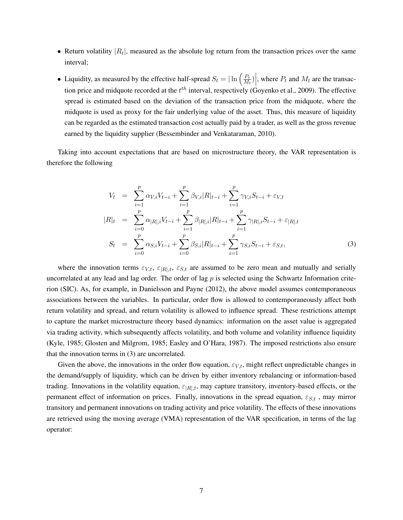- Return volatility  $|R_t|$ , measured as the absolute log return from the transaction prices over the same interval;
- Liquidity, as measured by the effective half-spread  $S_t = |\ln \left( \frac{P_t}{M} \right)|$  $\left. \frac{P_t}{M_t} \right)$ , where  $P_t$  and  $M_t$  are the transaction price and midquote recorded at the  $t^{th}$  interval, respectively (Goyenko et al., 2009). The effective spread is estimated based on the deviation of the transaction price from the midquote, where the midquote is used as proxy for the fair underlying value of the asset. Thus, this measure of liquidity can be regarded as the estimated transaction cost actually paid by a trader, as well as the gross revenue earned by the liquidity supplier (Bessembinder and Venkataraman, 2010).

Taking into account expectations that are based on microstructure theory, the VAR representation is therefore the following

$$
V_t = \sum_{i=1}^p \alpha_{V,i} V_{t-i} + \sum_{i=1}^p \beta_{V,i} |R|_{t-i} + \sum_{i=1}^p \gamma_{V,i} S_{t-i} + \varepsilon_{V,t}
$$
  
\n
$$
|R|_t = \sum_{i=0}^p \alpha_{|R|,i} V_{t-i} + \sum_{i=1}^p \beta_{|R|,i} |R|_{t-i} + \sum_{i=1}^p \gamma_{|R|,i} S_{t-i} + \varepsilon_{|R|,t}
$$
  
\n
$$
S_t = \sum_{i=0}^p \alpha_{S,i} V_{t-i} + \sum_{i=0}^p \beta_{S,i} |R|_{t-i} + \sum_{i=1}^p \gamma_{S,i} S_{t-i} + \varepsilon_{S,t},
$$
\n(3)

where the innovation terms  $\varepsilon_{V,t}$ ,  $\varepsilon_{R|t}$ ,  $\varepsilon_{S,t}$  are assumed to be zero mean and mutually and serially uncorrelated at any lead and lag order. The order of lag  $p$  is selected using the Schwartz Information criterion (SIC). As, for example, in Danielsson and Payne (2012), the above model assumes contemporaneous associations between the variables. In particular, order flow is allowed to contemporaneously affect both return volatility and spread, and return volatility is allowed to influence spread. These restrictions attempt to capture the market microstructure theory based dynamics: information on the asset value is aggregated via trading activity, which subsequently affects volatility, and both volume and volatility influence liquidity (Kyle, 1985; Glosten and Milgrom, 1985; Easley and O'Hara, 1987). The imposed restrictions also ensure that the innovation terms in (3) are uncorrelated.

Given the above, the innovations in the order flow equation,  $\varepsilon_{V,t}$ , might reflect unpredictable changes in the demand/supply of liquidity, which can be driven by either inventory rebalancing or information-based trading. Innovations in the volatility equation,  $\varepsilon_{|R|,t}$ , may capture transitory, inventory-based effects, or the permanent effect of information on prices. Finally, innovations in the spread equation,  $\varepsilon_{S,t}$ , may mirror transitory and permanent innovations on trading activity and price volatility. The effects of these innovations are retrieved using the moving average (VMA) representation of the VAR specification, in terms of the lag operator: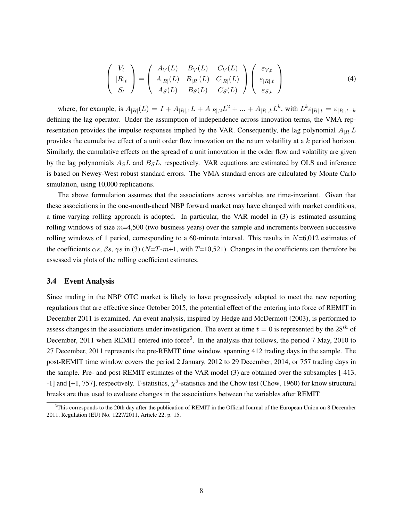$$
\begin{pmatrix} V_t \\ |R|_t \\ S_t \end{pmatrix} = \begin{pmatrix} A_V(L) & B_V(L) & C_V(L) \\ A_{|R|}(L) & B_{|R|}(L) & C_{|R|}(L) \\ A_S(L) & B_S(L) & C_S(L) \end{pmatrix} \begin{pmatrix} \varepsilon_{V,t} \\ \varepsilon_{|R|,t} \\ \varepsilon_{S,t} \end{pmatrix}
$$
(4)

where, for example, is  $A_{|R|}(L) = I + A_{|R|,1}L + A_{|R|,2}L^2 + ... + A_{|R|,k}L^k$ , with  $L^k \varepsilon_{|R|,t} = \varepsilon_{|R|,t-k}$ defining the lag operator. Under the assumption of independence across innovation terms, the VMA representation provides the impulse responses implied by the VAR. Consequently, the lag polynomial  $A_{|R|}L$ provides the cumulative effect of a unit order flow innovation on the return volatility at a k period horizon. Similarly, the cumulative effects on the spread of a unit innovation in the order flow and volatility are given by the lag polynomials  $A_S L$  and  $B_S L$ , respectively. VAR equations are estimated by OLS and inference is based on Newey-West robust standard errors. The VMA standard errors are calculated by Monte Carlo simulation, using 10,000 replications.

The above formulation assumes that the associations across variables are time-invariant. Given that these associations in the one-month-ahead NBP forward market may have changed with market conditions, a time-varying rolling approach is adopted. In particular, the VAR model in (3) is estimated assuming rolling windows of size  $m=4,500$  (two business years) over the sample and increments between successive rolling windows of 1 period, corresponding to a 60-minute interval. This results in  $N=6,012$  estimates of the coefficients  $\alpha s$ ,  $\beta s$ ,  $\gamma s$  in (3) (N=T-m+1, with T=10,521). Changes in the coefficients can therefore be assessed via plots of the rolling coefficient estimates.

# 3.4 Event Analysis

Since trading in the NBP OTC market is likely to have progressively adapted to meet the new reporting regulations that are effective since October 2015, the potential effect of the entering into force of REMIT in December 2011 is examined. An event analysis, inspired by Hedge and McDermott (2003), is performed to assess changes in the associations under investigation. The event at time  $t = 0$  is represented by the  $28^{th}$  of December, 2011 when REMIT entered into force<sup>3</sup>. In the analysis that follows, the period 7 May, 2010 to 27 December, 2011 represents the pre-REMIT time window, spanning 412 trading days in the sample. The post-REMIT time window covers the period 2 January, 2012 to 29 December, 2014, or 757 trading days in the sample. Pre- and post-REMIT estimates of the VAR model (3) are obtained over the subsamples [-413, -1] and [+1, 757], respectively. T-statistics,  $\chi^2$ -statistics and the Chow test (Chow, 1960) for know structural breaks are thus used to evaluate changes in the associations between the variables after REMIT.

 $3$ This corresponds to the 20th day after the publication of REMIT in the Official Journal of the European Union on 8 December 2011, Regulation (EU) No. 1227/2011, Article 22, p. 15.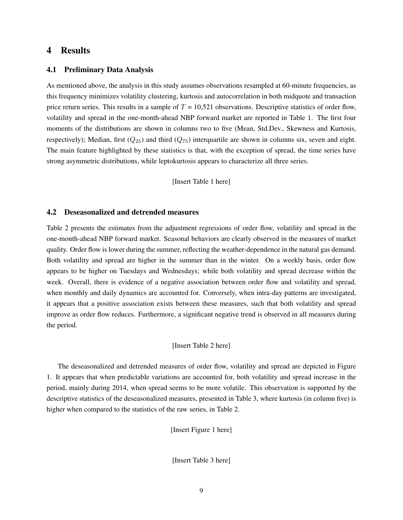# 4 Results

# 4.1 Preliminary Data Analysis

As mentioned above, the analysis in this study assumes observations resampled at 60-minute frequencies, as this frequency minimizes volatility clustering, kurtosis and autocorrelation in both midquote and transaction price return series. This results in a sample of  $T = 10,521$  observations. Descriptive statistics of order flow, volatility and spread in the one-month-ahead NBP forward market are reported in Table 1. The first four moments of the distributions are shown in columns two to five (Mean, Std.Dev., Skewness and Kurtosis, respectively); Median, first  $(Q_{25})$  and third  $(Q_{75})$  interquartile are shown in columns six, seven and eight. The main feature highlighted by these statistics is that, with the exception of spread, the time series have strong asymmetric distributions, while leptokurtosis appears to characterize all three series.

[Insert Table 1 here]

#### 4.2 Deseasonalized and detrended measures

Table 2 presents the estimates from the adjustment regressions of order flow, volatility and spread in the one-month-ahead NBP forward market. Seasonal behaviors are clearly observed in the measures of market quality. Order flow is lower during the summer, reflecting the weather-dependence in the natural gas demand. Both volatility and spread are higher in the summer than in the winter. On a weekly basis, order flow appears to be higher on Tuesdays and Wednesdays; while both volatility and spread decrease within the week. Overall, there is evidence of a negative association between order flow and volatility and spread, when monthly and daily dynamics are accounted for. Conversely, when intra-day patterns are investigated, it appears that a positive association exists between these measures, such that both volatility and spread improve as order flow reduces. Furthermore, a significant negative trend is observed in all measures during the period.

#### [Insert Table 2 here]

The deseasonalized and detrended measures of order flow, volatility and spread are depicted in Figure 1. It appears that when predictable variations are accounted for, both volatility and spread increase in the period, mainly during 2014, when spread seems to be more volatile. This observation is supported by the descriptive statistics of the deseasonalized measures, presented in Table 3, where kurtosis (in column five) is higher when compared to the statistics of the raw series, in Table 2.

[Insert Figure 1 here]

[Insert Table 3 here]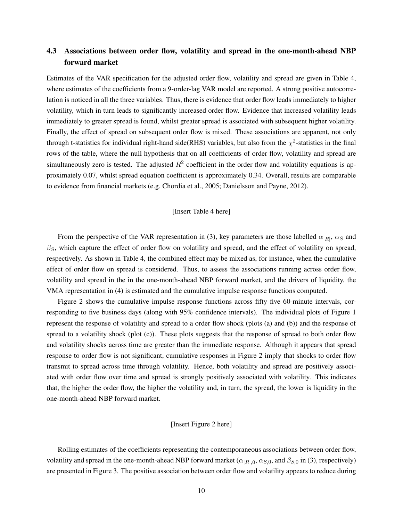# 4.3 Associations between order flow, volatility and spread in the one-month-ahead NBP forward market

Estimates of the VAR specification for the adjusted order flow, volatility and spread are given in Table 4, where estimates of the coefficients from a 9-order-lag VAR model are reported. A strong positive autocorrelation is noticed in all the three variables. Thus, there is evidence that order flow leads immediately to higher volatility, which in turn leads to significantly increased order flow. Evidence that increased volatility leads immediately to greater spread is found, whilst greater spread is associated with subsequent higher volatility. Finally, the effect of spread on subsequent order flow is mixed. These associations are apparent, not only through t-statistics for individual right-hand side(RHS) variables, but also from the  $\chi^2$ -statistics in the final rows of the table, where the null hypothesis that on all coefficients of order flow, volatility and spread are simultaneously zero is tested. The adjusted  $R^2$  coefficient in the order flow and volatility equations is approximately 0.07, whilst spread equation coefficient is approximately 0.34. Overall, results are comparable to evidence from financial markets (e.g. Chordia et al., 2005; Danielsson and Payne, 2012).

#### [Insert Table 4 here]

From the perspective of the VAR representation in (3), key parameters are those labelled  $\alpha_{|R|}$ ,  $\alpha_S$  and  $\beta_S$ , which capture the effect of order flow on volatility and spread, and the effect of volatility on spread, respectively. As shown in Table 4, the combined effect may be mixed as, for instance, when the cumulative effect of order flow on spread is considered. Thus, to assess the associations running across order flow, volatility and spread in the in the one-month-ahead NBP forward market, and the drivers of liquidity, the VMA representation in (4) is estimated and the cumulative impulse response functions computed.

Figure 2 shows the cumulative impulse response functions across fifty five 60-minute intervals, corresponding to five business days (along with 95% confidence intervals). The individual plots of Figure 1 represent the response of volatility and spread to a order flow shock (plots (a) and (b)) and the response of spread to a volatility shock (plot (c)). These plots suggests that the response of spread to both order flow and volatility shocks across time are greater than the immediate response. Although it appears that spread response to order flow is not significant, cumulative responses in Figure 2 imply that shocks to order flow transmit to spread across time through volatility. Hence, both volatility and spread are positively associated with order flow over time and spread is strongly positively associated with volatility. This indicates that, the higher the order flow, the higher the volatility and, in turn, the spread, the lower is liquidity in the one-month-ahead NBP forward market.

### [Insert Figure 2 here]

Rolling estimates of the coefficients representing the contemporaneous associations between order flow, volatility and spread in the one-month-ahead NBP forward market ( $\alpha_{|R|,0}$ ,  $\alpha_{S,0}$ , and  $\beta_{S,0}$  in (3), respectively) are presented in Figure 3. The positive association between order flow and volatility appears to reduce during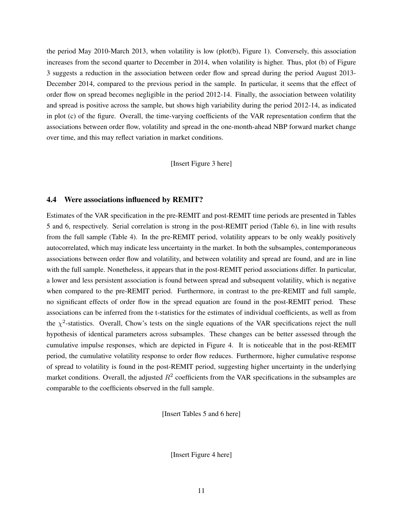the period May 2010-March 2013, when volatility is low (plot(b), Figure 1). Conversely, this association increases from the second quarter to December in 2014, when volatility is higher. Thus, plot (b) of Figure 3 suggests a reduction in the association between order flow and spread during the period August 2013- December 2014, compared to the previous period in the sample. In particular, it seems that the effect of order flow on spread becomes negligible in the period 2012-14. Finally, the association between volatility and spread is positive across the sample, but shows high variability during the period 2012-14, as indicated in plot (c) of the figure. Overall, the time-varying coefficients of the VAR representation confirm that the associations between order flow, volatility and spread in the one-month-ahead NBP forward market change over time, and this may reflect variation in market conditions.

[Insert Figure 3 here]

# 4.4 Were associations influenced by REMIT?

Estimates of the VAR specification in the pre-REMIT and post-REMIT time periods are presented in Tables 5 and 6, respectively. Serial correlation is strong in the post-REMIT period (Table 6), in line with results from the full sample (Table 4). In the pre-REMIT period, volatility appears to be only weakly positively autocorrelated, which may indicate less uncertainty in the market. In both the subsamples, contemporaneous associations between order flow and volatility, and between volatility and spread are found, and are in line with the full sample. Nonetheless, it appears that in the post-REMIT period associations differ. In particular, a lower and less persistent association is found between spread and subsequent volatility, which is negative when compared to the pre-REMIT period. Furthermore, in contrast to the pre-REMIT and full sample, no significant effects of order flow in the spread equation are found in the post-REMIT period. These associations can be inferred from the t-statistics for the estimates of individual coefficients, as well as from the  $\chi^2$ -statistics. Overall, Chow's tests on the single equations of the VAR specifications reject the null hypothesis of identical parameters across subsamples. These changes can be better assessed through the cumulative impulse responses, which are depicted in Figure 4. It is noticeable that in the post-REMIT period, the cumulative volatility response to order flow reduces. Furthermore, higher cumulative response of spread to volatility is found in the post-REMIT period, suggesting higher uncertainty in the underlying market conditions. Overall, the adjusted  $R^2$  coefficients from the VAR specifications in the subsamples are comparable to the coefficients observed in the full sample.

[Insert Tables 5 and 6 here]

[Insert Figure 4 here]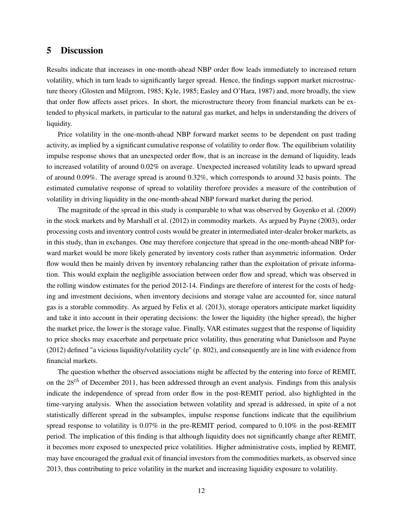# 5 Discussion

Results indicate that increases in one-month-ahead NBP order flow leads immediately to increased return volatility, which in turn leads to significantly larger spread. Hence, the findings support market microstructure theory (Glosten and Milgrom, 1985; Kyle, 1985; Easley and O'Hara, 1987) and, more broadly, the view that order flow affects asset prices. In short, the microstructure theory from financial markets can be extended to physical markets, in particular to the natural gas market, and helps in understanding the drivers of liquidity.

Price volatility in the one-month-ahead NBP forward market seems to be dependent on past trading activity, as implied by a significant cumulative response of volatility to order flow. The equilibrium volatility impulse response shows that an unexpected order flow, that is an increase in the demand of liquidity, leads to increased volatility of around 0.02% on average. Unexpected increased volatility leads to upward spread of around 0.09%. The average spread is around 0.32%, which corresponds to around 32 basis points. The estimated cumulative response of spread to volatility therefore provides a measure of the contribution of volatility in driving liquidity in the one-month-ahead NBP forward market during the period.

The magnitude of the spread in this study is comparable to what was observed by Goyenko et al. (2009) in the stock markets and by Marshall et al. (2012) in commodity markets. As argued by Payne (2003), order processing costs and inventory control costs would be greater in intermediated inter-dealer broker markets, as in this study, than in exchanges. One may therefore conjecture that spread in the one-month-ahead NBP forward market would be more likely generated by inventory costs rather than asymmetric information. Order flow would then be mainly driven by inventory rebalancing rather than the exploitation of private information. This would explain the negligible association between order flow and spread, which was observed in the rolling window estimates for the period 2012-14. Findings are therefore of interest for the costs of hedging and investment decisions, when inventory decisions and storage value are accounted for, since natural gas is a storable commodity. As argued by Felix et al. (2013), storage operators anticipate market liquidity and take it into account in their operating decisions: the lower the liquidity (the higher spread), the higher the market price, the lower is the storage value. Finally, VAR estimates suggest that the response of liquidity to price shocks may exacerbate and perpetuate price volatility, thus generating what Danielsson and Payne (2012) defined "a vicious liquidity/volatility cycle" (p. 802), and consequently are in line with evidence from financial markets.

The question whether the observed associations might be affected by the entering into force of REMIT, on the  $28<sup>th</sup>$  of December 2011, has been addressed through an event analysis. Findings from this analysis indicate the independence of spread from order flow in the post-REMIT period, also highlighted in the time-varying analysis. When the association between volatility and spread is addressed, in spite of a not statistically different spread in the subsamples, impulse response functions indicate that the equilibrium spread response to volatility is 0.07% in the pre-REMIT period, compared to 0.10% in the post-REMIT period. The implication of this finding is that although liquidity does not significantly change after REMIT, it becomes more exposed to unexpected price volatilities. Higher administrative costs, implied by REMIT, may have encouraged the gradual exit of financial investors from the commodities markets, as observed since 2013, thus contributing to price volatility in the market and increasing liquidity exposure to volatility.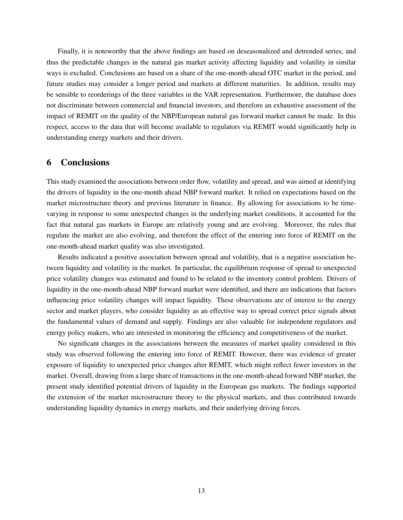Finally, it is noteworthy that the above findings are based on deseasonalized and detrended series, and thus the predictable changes in the natural gas market activity affecting liquidity and volatility in similar ways is excluded. Conclusions are based on a share of the one-month-ahead OTC market in the period, and future studies may consider a longer period and markets at different maturities. In addition, results may be sensible to reorderings of the three variables in the VAR representation. Furthermore, the database does not discriminate between commercial and financial investors, and therefore an exhaustive assessment of the impact of REMIT on the quality of the NBP/European natural gas forward market cannot be made. In this respect, access to the data that will become available to regulators via REMIT would significantly help in understanding energy markets and their drivers.

# 6 Conclusions

This study examined the associations between order flow, volatility and spread, and was aimed at identifying the drivers of liquidity in the one-month ahead NBP forward market. It relied on expectations based on the market microstructure theory and previous literature in finance. By allowing for associations to be timevarying in response to some unexpected changes in the underlying market conditions, it accounted for the fact that natural gas markets in Europe are relatively young and are evolving. Moreover, the rules that regulate the market are also evolving, and therefore the effect of the entering into force of REMIT on the one-month-ahead market quality was also investigated.

Results indicated a positive association between spread and volatility, that is a negative association between liquidity and volatility in the market. In particular, the equilibrium response of spread to unexpected price volatility changes was estimated and found to be related to the inventory control problem. Drivers of liquidity in the one-month-ahead NBP forward market were identified, and there are indications that factors influencing price volatility changes will impact liquidity. These observations are of interest to the energy sector and market players, who consider liquidity as an effective way to spread correct price signals about the fundamental values of demand and supply. Findings are also valuable for independent regulators and energy policy makers, who are interested in monitoring the efficiency and competitiveness of the market.

No significant changes in the associations between the measures of market quality considered in this study was observed following the entering into force of REMIT. However, there was evidence of greater exposure of liquidity to unexpected price changes after REMIT, which might reflect fewer investors in the market. Overall, drawing from a large share of transactions in the one-month-ahead forward NBP market, the present study identified potential drivers of liquidity in the European gas markets. The findings supported the extension of the market microstructure theory to the physical markets, and thus contributed towards understanding liquidity dynamics in energy markets, and their underlying driving forces.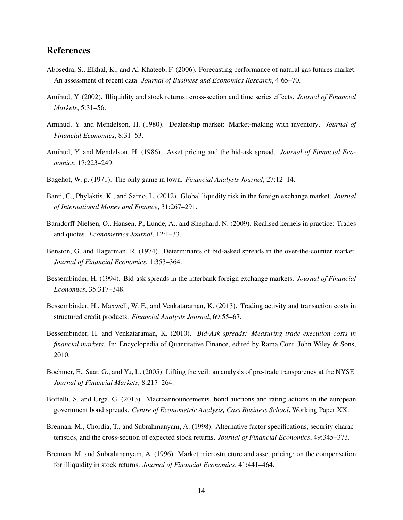# References

- Abosedra, S., Elkhal, K., and Al-Khateeb, F. (2006). Forecasting performance of natural gas futures market: An assessment of recent data. *Journal of Business and Economics Research*, 4:65–70.
- Amihud, Y. (2002). Illiquidity and stock returns: cross-section and time series effects. *Journal of Financial Markets*, 5:31–56.
- Amihud, Y. and Mendelson, H. (1980). Dealership market: Market-making with inventory. *Journal of Financial Economics*, 8:31–53.
- Amihud, Y. and Mendelson, H. (1986). Asset pricing and the bid-ask spread. *Journal of Financial Economics*, 17:223–249.
- Bagehot, W. p. (1971). The only game in town. *Financial Analysts Journal*, 27:12–14.
- Banti, C., Phylaktis, K., and Sarno, L. (2012). Global liquidity risk in the foreign exchange market. *Journal of International Money and Finance*, 31:267–291.
- Barndorff-Nielsen, O., Hansen, P., Lunde, A., and Shephard, N. (2009). Realised kernels in practice: Trades and quotes. *Econometrics Journal*, 12:1–33.
- Benston, G. and Hagerman, R. (1974). Determinants of bid-asked spreads in the over-the-counter market. *Journal of Financial Economics*, 1:353–364.
- Bessembinder, H. (1994). Bid-ask spreads in the interbank foreign exchange markets. *Journal of Financial Economics*, 35:317–348.
- Bessembinder, H., Maxwell, W. F., and Venkataraman, K. (2013). Trading activity and transaction costs in structured credit products. *Financial Analysts Journal*, 69:55–67.
- Bessembinder, H. and Venkataraman, K. (2010). *Bid-Ask spreads: Measuring trade execution costs in financial markets*. In: Encyclopedia of Quantitative Finance, edited by Rama Cont, John Wiley & Sons, 2010.
- Boehmer, E., Saar, G., and Yu, L. (2005). Lifting the veil: an analysis of pre-trade transparency at the NYSE. *Journal of Financial Markets*, 8:217–264.
- Boffelli, S. and Urga, G. (2013). Macroannouncements, bond auctions and rating actions in the european government bond spreads. *Centre of Econometric Analysis, Cass Business School*, Working Paper XX.
- Brennan, M., Chordia, T., and Subrahmanyam, A. (1998). Alternative factor specifications, security characteristics, and the cross-section of expected stock returns. *Journal of Financial Economics*, 49:345–373.
- Brennan, M. and Subrahmanyam, A. (1996). Market microstructure and asset pricing: on the compensation for illiquidity in stock returns. *Journal of Financial Economics*, 41:441–464.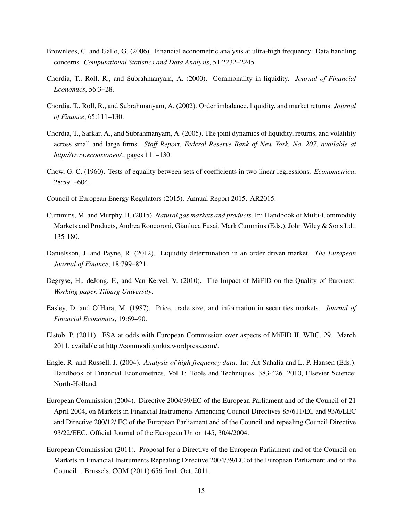- Brownlees, C. and Gallo, G. (2006). Financial econometric analysis at ultra-high frequency: Data handling concerns. *Computational Statistics and Data Analysis*, 51:2232–2245.
- Chordia, T., Roll, R., and Subrahmanyam, A. (2000). Commonality in liquidity. *Journal of Financial Economics*, 56:3–28.
- Chordia, T., Roll, R., and Subrahmanyam, A. (2002). Order imbalance, liquidity, and market returns. *Journal of Finance*, 65:111–130.
- Chordia, T., Sarkar, A., and Subrahmanyam, A. (2005). The joint dynamics of liquidity, returns, and volatility across small and large firms. *Staff Report, Federal Reserve Bank of New York, No. 207, available at http://www.econstor.eu/.*, pages 111–130.
- Chow, G. C. (1960). Tests of equality between sets of coefficients in two linear regressions. *Econometrica*, 28:591–604.
- Council of European Energy Regulators (2015). Annual Report 2015. AR2015.
- Cummins, M. and Murphy, B. (2015). *Natural gas markets and products*. In: Handbook of Multi-Commodity Markets and Products, Andrea Roncoroni, Gianluca Fusai, Mark Cummins (Eds.), John Wiley & Sons Ldt, 135-180.
- Danielsson, J. and Payne, R. (2012). Liquidity determination in an order driven market. *The European Journal of Finance*, 18:799–821.
- Degryse, H., deJong, F., and Van Kervel, V. (2010). The Impact of MiFID on the Quality of Euronext. *Working paper, Tilburg University*.
- Easley, D. and O'Hara, M. (1987). Price, trade size, and information in securities markets. *Journal of Financial Economics*, 19:69–90.
- Elstob, P. (2011). FSA at odds with European Commission over aspects of MiFID II. WBC. 29. March 2011, available at http://commoditymkts.wordpress.com/.
- Engle, R. and Russell, J. (2004). *Analysis of high frequency data*. In: Ait-Sahalia and L. P. Hansen (Eds.): Handbook of Financial Econometrics, Vol 1: Tools and Techniques, 383-426. 2010, Elsevier Science: North-Holland.
- European Commission (2004). Directive 2004/39/EC of the European Parliament and of the Council of 21 April 2004, on Markets in Financial Instruments Amending Council Directives 85/611/EC and 93/6/EEC and Directive 200/12/ EC of the European Parliament and of the Council and repealing Council Directive 93/22/EEC. Official Journal of the European Union 145, 30/4/2004.
- European Commission (2011). Proposal for a Directive of the European Parliament and of the Council on Markets in Financial Instruments Repealing Directive 2004/39/EC of the European Parliament and of the Council. , Brussels, COM (2011) 656 final, Oct. 2011.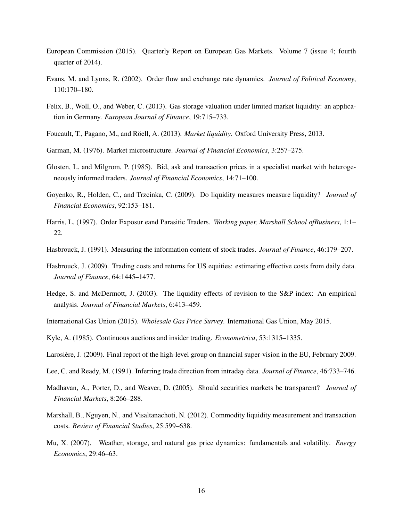- European Commission (2015). Quarterly Report on European Gas Markets. Volume 7 (issue 4; fourth quarter of 2014).
- Evans, M. and Lyons, R. (2002). Order flow and exchange rate dynamics. *Journal of Political Economy*, 110:170–180.
- Felix, B., Woll, O., and Weber, C. (2013). Gas storage valuation under limited market liquidity: an application in Germany. *European Journal of Finance*, 19:715–733.
- Foucault, T., Pagano, M., and Röell, A. (2013). *Market liquidity*. Oxford University Press, 2013.
- Garman, M. (1976). Market microstructure. *Journal of Financial Economics*, 3:257–275.
- Glosten, L. and Milgrom, P. (1985). Bid, ask and transaction prices in a specialist market with heterogeneously informed traders. *Journal of Financial Economics*, 14:71–100.
- Goyenko, R., Holden, C., and Trzcinka, C. (2009). Do liquidity measures measure liquidity? *Journal of Financial Economics*, 92:153–181.
- Harris, L. (1997). Order Exposur eand Parasitic Traders. *Working paper, Marshall School ofBusiness*, 1:1– 22.
- Hasbrouck, J. (1991). Measuring the information content of stock trades. *Journal of Finance*, 46:179–207.
- Hasbrouck, J. (2009). Trading costs and returns for US equities: estimating effective costs from daily data. *Journal of Finance*, 64:1445–1477.
- Hedge, S. and McDermott, J. (2003). The liquidity effects of revision to the S&P index: An empirical analysis. *Journal of Financial Markets*, 6:413–459.
- International Gas Union (2015). *Wholesale Gas Price Survey*. International Gas Union, May 2015.
- Kyle, A. (1985). Continuous auctions and insider trading. *Econometrica*, 53:1315–1335.
- Larosière, J. (2009). Final report of the high-level group on financial super-vision in the EU, February 2009.
- Lee, C. and Ready, M. (1991). Inferring trade direction from intraday data. *Journal of Finance*, 46:733–746.
- Madhavan, A., Porter, D., and Weaver, D. (2005). Should securities markets be transparent? *Journal of Financial Markets*, 8:266–288.
- Marshall, B., Nguyen, N., and Visaltanachoti, N. (2012). Commodity liquidity measurement and transaction costs. *Review of Financial Studies*, 25:599–638.
- Mu, X. (2007). Weather, storage, and natural gas price dynamics: fundamentals and volatility. *Energy Economics*, 29:46–63.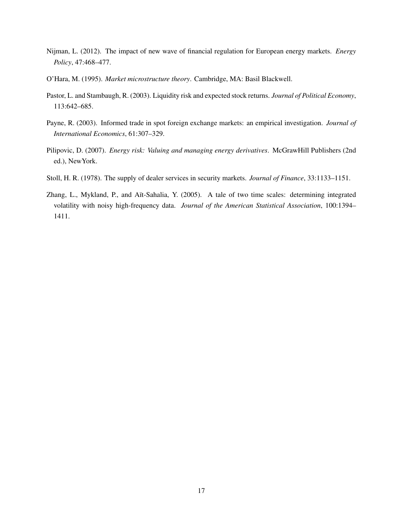- Nijman, L. (2012). The impact of new wave of financial regulation for European energy markets. *Energy Policy*, 47:468–477.
- O'Hara, M. (1995). *Market microstructure theory*. Cambridge, MA: Basil Blackwell.
- Pastor, L. and Stambaugh, R. (2003). Liquidity risk and expected stock returns. *Journal of Political Economy*, 113:642–685.
- Payne, R. (2003). Informed trade in spot foreign exchange markets: an empirical investigation. *Journal of International Economics*, 61:307–329.
- Pilipovic, D. (2007). *Energy risk: Valuing and managing energy derivatives*. McGrawHill Publishers (2nd ed.), NewYork.
- Stoll, H. R. (1978). The supply of dealer services in security markets. *Journal of Finance*, 33:1133–1151.
- Zhang, L., Mykland, P., and Aït-Sahalia, Y. (2005). A tale of two time scales: determining integrated volatility with noisy high-frequency data. *Journal of the American Statistical Association*, 100:1394– 1411.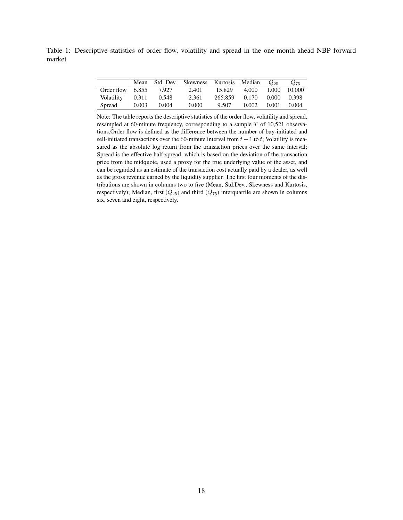Table 1: Descriptive statistics of order flow, volatility and spread in the one-month-ahead NBP forward market

|                          |       |       | Mean Std. Dev. Skewness Kurtosis Median |         |             | $Q_{25}$ | $Q_{75}$ |
|--------------------------|-------|-------|-----------------------------------------|---------|-------------|----------|----------|
| Order flow $\vert$ 6.855 |       | 7.927 | 2.401                                   | 15.829  | 4.000 1.000 |          | 10.000   |
| Volatility               | 0.311 | 0.548 | 2.361                                   | 265.859 | 0.170       | 0.000    | 0.398    |
| Spread                   | 0.003 | 0.004 | 0.000                                   | 9.507   | 0.002       | 0.001    | 0.004    |

Note: The table reports the descriptive statistics of the order flow, volatility and spread, resampled at 60-minute frequency, corresponding to a sample  $T$  of 10,521 observations.Order flow is defined as the difference between the number of buy-initiated and sell-initiated transactions over the 60-minute interval from  $t - 1$  to t; Volatility is measured as the absolute log return from the transaction prices over the same interval; Spread is the effective half-spread, which is based on the deviation of the transaction price from the midquote, used a proxy for the true underlying value of the asset, and can be regarded as an estimate of the transaction cost actually paid by a dealer, as well as the gross revenue earned by the liquidity supplier. The first four moments of the distributions are shown in columns two to five (Mean, Std.Dev., Skewness and Kurtosis, respectively); Median, first  $(Q_{25})$  and third  $(Q_{75})$  interquartile are shown in columns six, seven and eight, respectively.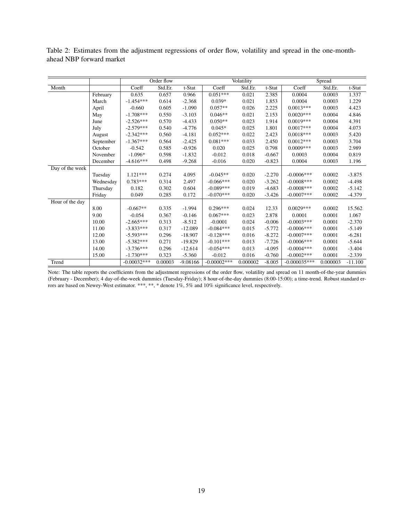Table 2: Estimates from the adjustment regressions of order flow, volatility and spread in the one-monthahead NBP forward market

|                 |           | Order flow    |         |            |                | Volatility |          | Spread         |          |           |
|-----------------|-----------|---------------|---------|------------|----------------|------------|----------|----------------|----------|-----------|
| Month           |           | Coeff         | Std.Er. | t-Stat     | Coeff          | Std.Er.    | t-Stat   | Coeff          | Std.Er.  | t-Stat    |
|                 | February  | 0.635         | 0.657   | 0.966      | $0.051***$     | 0.021      | 2.385    | 0.0004         | 0.0003   | 1.337     |
|                 | March     | $-1.454***$   | 0.614   | $-2.368$   | $0.039*$       | 0.021      | 1.853    | 0.0004         | 0.0003   | 1.229     |
|                 | April     | $-0.660$      | 0.605   | $-1.090$   | $0.057**$      | 0.026      | 2.225    | $0.0013***$    | 0.0003   | 4.423     |
|                 | May       | $-1.708***$   | 0.550   | $-3.103$   | $0.046**$      | 0.021      | 2.153    | $0.0020***$    | 0.0004   | 4.846     |
|                 | June      | $-2.526***$   | 0.570   | $-4.433$   | $0.050**$      | 0.023      | 1.914    | $0.0019***$    | 0.0004   | 4.391     |
|                 | July      | $-2.579***$   | 0.540   | $-4.776$   | $0.045*$       | 0.025      | 1.801    | $0.0017***$    | 0.0004   | 4.073     |
|                 | August    | $-2.342***$   | 0.560   | $-4.181$   | $0.052***$     | 0.022      | 2.423    | $0.0018***$    | 0.0003   | 5.420     |
|                 | September | $-1.367***$   | 0.564   | $-2.425$   | $0.081***$     | 0.033      | 2.450    | $0.0012***$    | 0.0003   | 3.704     |
|                 | October   | $-0.542$      | 0.585   | $-0.926$   | 0.020          | 0.025      | 0.798    | $0.0009***$    | 0.0003   | 2.989     |
|                 | November  | $-1.096*$     | 0.598   | $-1.832$   | $-0.012$       | 0.018      | $-0.667$ | 0.0003         | 0.0004   | 0.819     |
|                 | December  | $-4.616***$   | 0.498   | $-9.268$   | $-0.016$       | 0.020      | $-0.823$ | 0.0004         | 0.0003   | 1.196     |
| Day of the week |           |               |         |            |                |            |          |                |          |           |
|                 | Tuesday   | $1.121***$    | 0.274   | 4.095      | $-0.045**$     | 0.020      | $-2.270$ | $-0.0006***$   | 0.0002   | $-3.875$  |
|                 | Wednesday | $0.783***$    | 0.314   | 2.497      | $-0.066***$    | 0.020      | $-3.262$ | $-0.0008$ ***  | 0.0002   | $-4.498$  |
|                 | Thursday  | 0.182         | 0.302   | 0.604      | $-0.089***$    | 0.019      | $-4.683$ | $-0.0008$ ***  | 0.0002   | $-5.142$  |
|                 | Friday    | 0.049         | 0.285   | 0.172      | $-0.070***$    | 0.020      | $-3.426$ | $-0.0007$ ***  | 0.0002   | $-4.379$  |
| Hour of the day |           |               |         |            |                |            |          |                |          |           |
|                 | 8.00      | $-0.667**$    | 0.335   | $-1.994$   | $0.296***$     | 0.024      | 12.33    | $0.0029***$    | 0.0002   | 15.562    |
|                 | 9.00      | $-0.054$      | 0.367   | $-0.146$   | $0.067***$     | 0.023      | 2.878    | 0.0001         | 0.0001   | 1.067     |
|                 | 10.00     | $-2.665***$   | 0.313   | $-8.512$   | $-0.0001$      | 0.024      | $-0.006$ | $-0.0003***$   | 0.0001   | $-2.370$  |
|                 | 11.00     | $-3.833***$   | 0.317   | $-12.089$  | $-0.084***$    | 0.015      | $-5.772$ | $-0.0006***$   | 0.0001   | $-5.149$  |
|                 | 12.00     | $-5.593***$   | 0.296   | $-18.907$  | $-0.128***$    | 0.016      | $-8.272$ | $-0.0007***$   | 0.0001   | $-6.281$  |
|                 | 13.00     | $-5.382***$   | 0.271   | $-19.829$  | $-0.101***$    | 0.013      | $-7.726$ | $-0.0006***$   | 0.0001   | $-5.644$  |
|                 | 14.00     | $-3.736***$   | 0.296   | $-12.614$  | $-0.054***$    | 0.013      | $-4.095$ | $-0.0004***$   | 0.0001   | $-3.404$  |
|                 | 15.00     | $-1.730***$   | 0.323   | $-5.360$   | $-0.012$       | 0.016      | $-0.760$ | $-0.0002$ ***  | 0.0001   | $-2.339$  |
| Trend           |           | $-0.00032***$ | 0.00003 | $-9.08166$ | $-0.00002$ *** | 0.000002   | $-8.005$ | $-0.000035***$ | 0.000003 | $-11.100$ |

Note: The table reports the coefficients from the adjustment regressions of the order flow, volatility and spread on 11 month-of-the-year dummies (February - December); 4 day-of-the-week dummies (Tuesday-Friday); 8 hour-of-the-day dummies (8:00-15:00); a time-trend. Robust standard errors are based on Newey-West estimator. \*\*\*, \*\*, \* denote 1%, 5% and 10% significance level, respectively.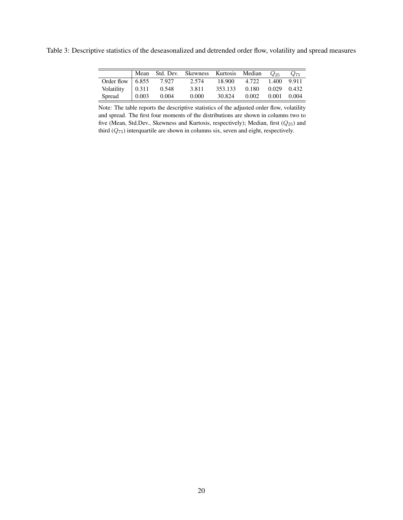Table 3: Descriptive statistics of the deseasonalized and detrended order flow, volatility and spread measures

|                          | Mean Nean           |       | Std. Dev. Skewness Kurtosis Median |         |              | $Q_{25}$    | $Q_{75}$ |
|--------------------------|---------------------|-------|------------------------------------|---------|--------------|-------------|----------|
| Order flow $\vert$ 6.855 |                     | 7.927 | 2.574                              |         | 18.900 4.722 | 1.400 9.911 |          |
| Volatility $\vert$ 0.311 |                     | 0.548 | 3.811                              | 353.133 | 0.180        | 0.029 0.432 |          |
| Spread                   | $\vert 0.003 \vert$ | 0.004 | 0.000                              | 30.824  | 0.002        | 0.001 0.004 |          |

Note: The table reports the descriptive statistics of the adjusted order flow, volatility and spread. The first four moments of the distributions are shown in columns two to five (Mean, Std.Dev., Skewness and Kurtosis, respectively); Median, first ( $Q_{25}$ ) and third  $(Q_{75})$  interquartile are shown in columns six, seven and eight, respectively.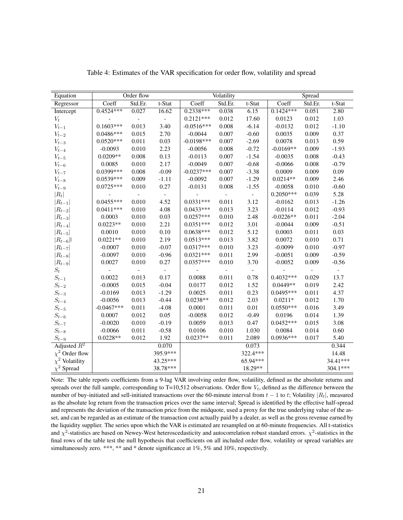| Equation            |              | Order flow               |                          |                          | Volatility     |                          |             | Spread                   |                          |
|---------------------|--------------|--------------------------|--------------------------|--------------------------|----------------|--------------------------|-------------|--------------------------|--------------------------|
| Regressor           | Coeff        | Std.Er.                  | t-Stat                   | Coeff                    | Std.Er.        | t-Stat                   | Coeff       | Std.Er.                  | t-Stat                   |
| Intercept           | $0.4524***$  | 0.027                    | 16.62                    | $0.2338***$              | 0.038          | 6.15                     | $0.1424***$ | 0.051                    | 2.80                     |
| $V_t$               |              | $\frac{1}{2}$            | $\overline{\phantom{a}}$ | $0.2121***$              | 0.012          | 17.60                    | 0.0123      | 0.012                    | 1.03                     |
| ${\cal V}_{t-1}$    | $0.1603***$  | 0.013                    | 3.40                     | $-0.0516***$             | 0.008          | $-6.14$                  | $-0.0132$   | 0.012                    | $-1.10$                  |
| $V_{t-2}$           | $0.0486***$  | 0.015                    | 2.70                     | $-0.0044$                | 0.007          | $-0.60$                  | 0.0035      | 0.009                    | 0.37                     |
| $V_{t-3}$           | $0.0520***$  | 0.011                    | 0.03                     | $-0.0198***$             | 0.007          | $-2.69$                  | 0.0078      | 0.013                    | 0.59                     |
| $V_{t-4}$           | $-0.0093$    | 0.010                    | 2.23                     | $-0.0056$                | 0.008          | $-0.72$                  | $-0.0169**$ | 0.009                    | $-1.93$                  |
| $V_{t-5}$           | $0.0209**$   | 0.008                    | 0.13                     | $-0.0113$                | 0.007          | $-1.54$                  | $-0.0035$   | 0.008                    | $-0.43$                  |
| $V_{t-6}$           | 0.0085       | 0.010                    | 2.17                     | $-0.0049$                | 0.007          | $-0.68$                  | $-0.0066$   | 0.008                    | $-0.79$                  |
| $V_{t-7}$           | 0.0399***    | 0.008                    | $-0.09$                  | $-0.0237***$             | 0.007          | $-3.38$                  | 0.0009      | 0.009                    | 0.09                     |
| $V_{t-8}$           | $0.0539***$  | 0.009                    | $-1.11$                  | $-0.0092$                | 0.007          | $-1.29$                  | $0.0214**$  | 0.009                    | 2.46                     |
| $V_{t-9}$           | $0.0725***$  | 0.010                    | 0.27                     | $-0.0131$                | 0.008          | $-1.55$                  | $-0.0058$   | 0.010                    | $-0.60$                  |
| $ R_t $             |              | $\overline{\phantom{a}}$ | $\overline{\phantom{a}}$ | $\overline{\phantom{m}}$ | $\blacksquare$ | $\overline{\phantom{a}}$ | $0.2050***$ | 0.039                    | 5.28                     |
| $ R_{t-1} $         | $0.0455***$  | 0.010                    | 4.52                     | $0.0331***$              | 0.011          | 3.12                     | $-0.0162$   | 0.013                    | $-1.26$                  |
| $ R_{t-2} $         | $0.0411***$  | 0.010                    | 4.08                     | $0.0433***$              | 0.013          | 3.23                     | $-0.0114$   | 0.012                    | $-0.93$                  |
| $ R_{t-3} $         | 0.0003       | 0.010                    | 0.03                     | $0.0257***$              | 0.010          | 2.48                     | $-0.0226**$ | 0.011                    | $-2.04$                  |
| $ R_{t-4} $         | $0.0223**$   | 0.010                    | 2.21                     | $0.0351***$              | 0.012          | 3.01                     | $-0.0044$   | 0.009                    | $-0.51$                  |
| $ R_{t-5} $         | 0.0010       | 0.010                    | 0.10                     | $0.0638***$              | 0.012          | 5.12                     | 0.0003      | 0.011                    | 0.03                     |
| $ R_{t-6} $         | $0.0221**$   | 0.010                    | 2.19                     | $0.0513***$              | 0.013          | 3.82                     | 0.0072      | 0.010                    | 0.71                     |
| $ R_{t-7} $         | $-0.0007$    | 0.010                    | $-0.07$                  | $0.0317***$              | 0.010          | 3.23                     | $-0.0099$   | 0.010                    | $-0.97$                  |
| $ R_{t-8} $         | $-0.0097$    | 0.010                    | $-0.96$                  | $0.0321***$              | 0.011          | 2.99                     | $-0.0051$   | 0.009                    | $-0.59$                  |
| $ R_{t-9} $         | 0.0027       | 0.010                    | 0.27                     | $0.0357***$              | 0.010          | 3.70                     | $-0.0052$   | 0.009                    | $-0.56$                  |
| $S_t$               |              | $\frac{1}{2}$            | $\overline{\phantom{a}}$ |                          |                | $\overline{\phantom{a}}$ |             | $\overline{\phantom{a}}$ | $\overline{\phantom{a}}$ |
| $S_{t-1}$           | 0.0022       | 0.013                    | 0.17                     | 0.0088                   | 0.011          | 0.78                     | $0.4032***$ | 0.029                    | 13.7                     |
| $S_{t-2}$           | $-0.0005$    | 0.015                    | $-0.04$                  | 0.0177                   | 0.012          | 1.52                     | $0.0449**$  | 0.019                    | 2.42                     |
| $S_{t-3}$           | $-0.0169$    | 0.013                    | $-1.29$                  | 0.0025                   | 0.011          | 0.23                     | $0.0495***$ | 0.011                    | 4.37                     |
| $S_{t-4}$           | $-0.0056$    | 0.013                    | $-0.44$                  | $0.0238**$               | 0.012          | 2.03                     | $0.0211*$   | 0.012                    | 1.70                     |
| $S_{t-5}$           | $-0.0467***$ | 0.011                    | $-4.08$                  | 0.0001                   | 0.011          | 0.01                     | $0.0550***$ | 0.016                    | 3.49                     |
| $S_{t-6}$           | 0.0007       | 0.012                    | 0.05                     | $-0.0058$                | 0.012          | $-0.49$                  | 0.0196      | 0.014                    | 1.39                     |
| $\mathcal{S}_{t-7}$ | $-0.0020$    | 0.010                    | $-0.19$                  | 0.0059                   | 0.013          | 0.47                     | $0.0452***$ | 0.015                    | 3.08                     |
| $S_{t-8}$           | $-0.0066$    | 0.011                    | $-0.58$                  | 0.0106                   | 0.010          | 1.030                    | 0.0084      | 0.014                    | 0.60                     |
| $S_{t-9}$           | $0.0228**$   | 0.012                    | 1.92                     | $0.0237**$               | 0.011          | 2.089                    | $0.0936***$ | 0.017                    | 5.40                     |
| Adjusted $R^2$      |              |                          | 0.070                    |                          |                | 0.073                    |             |                          | 0.344                    |
| $\chi^2$ Order flow |              |                          | 395.9***                 |                          |                | 322.4***                 |             |                          | 14.48                    |
| $\chi^2$ Volatility |              |                          | 43.25***                 |                          |                | 65.94***                 |             |                          | 34.41***                 |
| $\chi^2$ Spread     |              |                          | 38.78***                 |                          |                | 18.29**                  |             |                          | 304.1***                 |

Table 4: Estimates of the VAR specification for order flow, volatility and spread

Note: The table reports coefficients from a 9-lag VAR involving order flow, volatility, defined as the absolute returns and spreads over the full sample, corresponding to  $T=10,512$  observations. Order flow  $V_t$ , defined as the difference between the number of buy-initiated and sell-initiated transactions over the 60-minute interval from  $t-1$  to t; Volatility  $|R_t|$ , measured as the absolute log return from the transaction prices over the same interval; Spread is identified by the effective half-spread and represents the deviation of the transaction price from the midquote, used a proxy for the true underlying value of the asset, and can be regarded as an estimate of the transaction cost actually paid by a dealer, as well as the gross revenue earned by the liquidity supplier. The series upon which the VAR is estimated are resampled on at 60-minute frequencies. All t-statistics and  $\chi^2$ -statistics are based on Newey-West heteroscedasticity and autocorrelation robust standard errors.  $\chi^2$ -statistics in the final rows of the table test the null hypothesis that coefficients on all included order flow, volatility or spread variables are simultaneously zero. \*\*\*, \*\* and \* denote significance at 1%, 5% and 10%, respectively.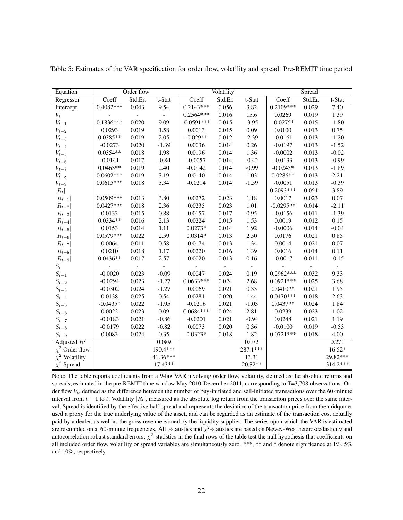| Equation            |             | Order flow                   |                          |              | Volatility |                |             | Spread  |                          |
|---------------------|-------------|------------------------------|--------------------------|--------------|------------|----------------|-------------|---------|--------------------------|
| Regressor           | Coeff       | Std.Er.                      | t-Stat                   | Coeff        | Std.Er.    | t-Stat         | Coeff       | Std.Er. | t-Stat                   |
| Intercept           | $0.4082***$ | 0.043                        | 9.54                     | $0.2143***$  | 0.056      | 3.82           | $0.2109***$ | 0.029   | 7.40                     |
| $V_t$               |             | $\overline{\phantom{0}}$     | $\overline{\phantom{a}}$ | $0.2564***$  | 0.016      | 15.6           | 0.0269      | 0.019   | 1.39                     |
| $V_{t-1}$           | $0.1836***$ | 0.020                        | 9.09                     | $-0.0591***$ | 0.015      | $-3.95$        | $-0.0275*$  | 0.015   | $-1.80$                  |
| $V_{t-2}$           | 0.0293      | 0.019                        | 1.58                     | 0.0013       | 0.015      | 0.09           | 0.0100      | 0.013   | 0.75                     |
| $V_{t-3}$           | $0.0385**$  | 0.019                        | 2.05                     | $-0.029**$   | 0.012      | $-2.39$        | $-0.0161$   | 0.013   | $-1.20$                  |
| $V_{t-4}$           | $-0.0273$   | 0.020                        | $-1.39$                  | 0.0036       | 0.014      | 0.26           | $-0.0197$   | 0.013   | $-1.52$                  |
| $V_{t-5}$           | $0.0354**$  | 0.018                        | 1.98                     | 0.0196       | 0.014      | 1.36           | $-0.0002$   | 0.013   | $-0.02$                  |
| $V_{t-6}$           | $-0.0141$   | 0.017                        | $-0.84$                  | $-0.0057$    | 0.014      | $-0.42$        | $-0.0133$   | 0.013   | $-0.99$                  |
| $V_{t-7}$           | $0.0463**$  | 0.019                        | 2.40                     | $-0.0142$    | 0.014      | $-0.99$        | $-0.0245*$  | 0.013   | $-1.89$                  |
| $V_{t-8}$           | $0.0602***$ | 0.019                        | 3.19                     | 0.0140       | 0.014      | 1.03           | $0.0286**$  | 0.013   | 2.21                     |
| $V_{t-9}$           | $0.0615***$ | 0.018                        | 3.34                     | $-0.0214$    | 0.014      | $-1.59$        | $-0.0051$   | 0.013   | $-0.39$                  |
| $ R_t $             |             | $\qquad \qquad \blacksquare$ | $\overline{\phantom{a}}$ |              |            | $\Box$         | $0.2093***$ | 0.054   | 3.89                     |
| $ R_{t-1} $         | $0.0509***$ | 0.013                        | 3.80                     | 0.0272       | 0.023      | 1.18           | 0.0017      | 0.023   | $0.07\,$                 |
| $ R_{t-2} $         | $0.0427***$ | 0.018                        | 2.36                     | 0.0235       | 0.023      | 1.01           | $-0.0295**$ | 0.014   | $-2.11$                  |
| $ R_{t-3} $         | 0.0133      | 0.015                        | 0.88                     | 0.0157       | 0.017      | 0.95           | $-0.0156$   | 0.011   | $-1.39$                  |
| $ R_{t-4} $         | $0.0334**$  | 0.016                        | 2.13                     | 0.0224       | 0.015      | 1.53           | 0.0019      | 0.012   | 0.15                     |
| $ R_{t-5} $         | 0.0153      | 0.014                        | 1.11                     | $0.0273*$    | 0.014      | 1.92           | $-0.0006$   | 0.014   | $-0.04$                  |
| $ R_{t-6} $         | $0.0579***$ | 0.022                        | 2.59                     | $0.0314*$    | 0.013      | 2.50           | 0.0176      | 0.021   | 0.85                     |
| $ R_{t-7} $         | 0.0064      | 0.011                        | 0.58                     | 0.0174       | 0.013      | 1.34           | 0.0014      | 0.021   | $0.07\,$                 |
| $ R_{t-8} $         | 0.0210      | 0.018                        | 1.17                     | 0.0220       | 0.016      | 1.39           | 0.0016      | 0.014   | 0.11                     |
| $ R_{t-9} $         | $0.0436**$  | 0.017                        | 2.57                     | 0.0020       | 0.013      | 0.16           | $-0.0017$   | 0.011   | $-0.15$                  |
| $S_t$               |             |                              |                          |              |            | $\overline{a}$ |             |         | $\overline{\phantom{a}}$ |
| $S_{t-1}$           | $-0.0020$   | 0.023                        | $-0.09$                  | 0.0047       | 0.024      | 0.19           | $0.2962***$ | 0.032   | 9.33                     |
| $\mathcal{S}_{t-2}$ | $-0.0294$   | 0.023                        | $-1.27$                  | $0.0633***$  | 0.024      | 2.68           | $0.0921***$ | 0.025   | 3.68                     |
| $S_{t-3}$           | $-0.0302$   | 0.024                        | $-1.27$                  | 0.0069       | 0.021      | 0.33           | $0.0410**$  | 0.021   | 1.95                     |
| $S_{t-4}$           | 0.0138      | 0.025                        | 0.54                     | 0.0281       | 0.020      | 1.44           | $0.0470***$ | 0.018   | 2.63                     |
| $S_{t-5}$           | $-0.0435*$  | 0.022                        | $-1.95$                  | $-0.0216$    | 0.021      | $-1.03$        | $0.0437**$  | 0.024   | 1.84                     |
| $S_{t-6}$           | 0.0022      | 0.023                        | 0.09                     | $0.0684***$  | 0.024      | 2.81           | 0.0239      | 0.023   | 1.02                     |
| ${\cal S}_{t-7}$    | $-0.0183$   | 0.021                        | $-0.86$                  | $-0.0201$    | 0.021      | $-0.94$        | 0.0248      | 0.021   | 1.19                     |
| $S_{t-8}$           | $-0.0179$   | 0.022                        | $-0.82$                  | 0.0073       | 0.020      | 0.36           | $-0.0100$   | 0.019   | $-0.53$                  |
| $S_{t-9}$           | 0.0083      | 0.024                        | 0.35                     | $0.0323*$    | 0.018      | 1.82           | $0.0721***$ | 0.018   | 4.00                     |
| Adjusted $R^2$      |             |                              | 0.089                    |              |            | 0.072          |             |         | 0.271                    |
| $\chi^2$ Order flow |             |                              | 190.4***                 |              |            | 287.1***       |             |         | $16.52*$                 |
| $\chi^2$ Volatility |             |                              | 41.36***                 |              |            | 13.31          |             |         | 29.82***                 |
| $\chi^2$ Spread     |             |                              | 17.43**                  |              |            | 20.82**        |             |         | 314.2***                 |

Table 5: Estimates of the VAR specification for order flow, volatility and spread: Pre-REMIT time period

Note: The table reports coefficients from a 9-lag VAR involving order flow, volatility, defined as the absolute returns and spreads, estimated in the pre-REMIT time window May 2010-December 2011, corresponding to T=3,708 observations. Order flow  $V_t$ , defined as the difference between the number of buy-initiated and sell-initiated transactions over the 60-minute interval from  $t - 1$  to t; Volatility  $|R_t|$ , measured as the absolute log return from the transaction prices over the same interval; Spread is identified by the effective half-spread and represents the deviation of the transaction price from the midquote, used a proxy for the true underlying value of the asset, and can be regarded as an estimate of the transaction cost actually paid by a dealer, as well as the gross revenue earned by the liquidity supplier. The series upon which the VAR is estimated are resampled on at 60-minute frequencies. All t-statistics and  $\chi^2$ -statistics are based on Newey-West heteroscedasticity and autocorrelation robust standard errors.  $\chi^2$ -statistics in the final rows of the table test the null hypothesis that coefficients on all included order flow, volatility or spread variables are simultaneously zero. \*\*\*, \*\* and \* denote significance at 1%, 5% and 10%, respectively.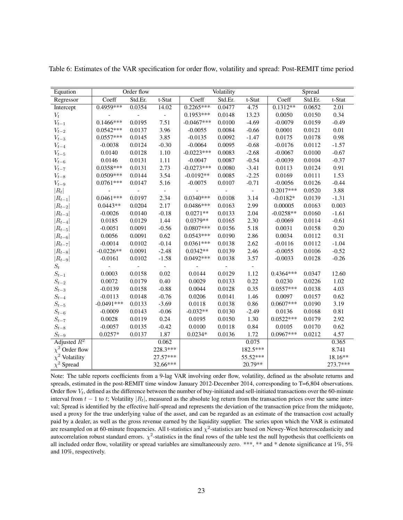| Equation               |              | Order flow     |                          |              | Volatility |                |             | Spread  |          |
|------------------------|--------------|----------------|--------------------------|--------------|------------|----------------|-------------|---------|----------|
| Regressor              | Coeff        | Std.Er.        | t-Stat                   | Coeff        | Std.Er.    | t-Stat         | Coeff       | Std.Er. | t-Stat   |
| Intercept              | $0.4959***$  | 0.0354         | 14.02                    | $0.2265***$  | 0.0477     | 4.75           | $0.1312**$  | 0.0652  | 2.01     |
| $V_t$                  |              | $\overline{a}$ | $\overline{\phantom{a}}$ | $0.1953***$  | 0.0148     | 13.23          | 0.0050      | 0.0150  | 0.34     |
| $V_{t-1}$              | $0.1466***$  | 0.0195         | 7.51                     | $-0.0467***$ | 0.0100     | $-4.69$        | $-0.0079$   | 0.0159  | $-0.49$  |
| $V_{t-2}$              | $0.0542***$  | 0.0137         | 3.96                     | $-0.0055$    | 0.0084     | $-0.66$        | 0.0001      | 0.0121  | $0.01\,$ |
| $V_{t-3}$              | $0.0557***$  | 0.0145         | 3.85                     | $-0.0135$    | 0.0092     | $-1.47$        | 0.0175      | 0.0178  | 0.98     |
| $V_{t-4}$              | $-0.0038$    | 0.0124         | $-0.30$                  | $-0.0064$    | 0.0095     | $-0.68$        | $-0.0176$   | 0.0112  | $-1.57$  |
| $V_{t-5}$              | 0.0140       | 0.0128         | 1.10                     | $-0.0223***$ | 0.0083     | $-2.68$        | $-0.0067$   | 0.0100  | $-0.67$  |
| $V_{t-6}$              | 0.0146       | 0.0131         | 1.11                     | $-0.0047$    | 0.0087     | $-0.54$        | $-0.0039$   | 0.0104  | $-0.37$  |
| $V_{t-7}$              | $0.0358***$  | 0.0131         | 2.73                     | $-0.0273***$ | 0.0080     | $-3.41$        | 0.0113      | 0.0124  | 0.91     |
| $V_{t-8}$              | $0.0509***$  | 0.0144         | 3.54                     | $-0.0192**$  | 0.0085     | $-2.25$        | 0.0169      | 0.0111  | 1.53     |
| $V_{t-9}$              | $0.0761***$  | 0.0147         | 5.16                     | $-0.0075$    | 0.0107     | $-0.71$        | $-0.0056$   | 0.0126  | $-0.44$  |
| $ R_t $                |              |                | $\overline{\phantom{a}}$ |              |            | $\blacksquare$ | $0.2017***$ | 0.0520  | 3.88     |
| $ R_{t-1} $            | $0.0461***$  | 0.0197         | 2.34                     | $0.0340***$  | 0.0108     | 3.14           | $-0.0182*$  | 0.0139  | $-1.31$  |
| $\left R_{t-2}\right $ | $0.0443**$   | 0.0204         | 2.17                     | $0.0486***$  | 0.0163     | 2.99           | 0.00005     | 0.0163  | 0.003    |
| $ R_{t-3} $            | $-0.0026$    | 0.0140         | $-0.18$                  | $0.0271**$   | 0.0133     | 2.04           | $-0.0258**$ | 0.0160  | $-1.61$  |
| $ R_{t-4} $            | 0.0185       | 0.0129         | 1.44                     | $0.0379**$   | 0.0165     | 2.30           | $-0.0069$   | 0.0114  | $-0.61$  |
| $ R_{t-5} $            | $-0.0051$    | 0.0091         | $-0.56$                  | $0.0807***$  | 0.0156     | 5.18           | 0.0031      | 0.0158  | 0.20     |
| $ R_{t-6} $            | 0.0056       | 0.0091         | 0.62                     | $0.0543***$  | 0.0190     | 2.86           | 0.0034      | 0.0112  | 0.31     |
| $ R_{t-7} $            | $-0.0014$    | 0.0102         | $-0.14$                  | $0.0361***$  | 0.0138     | 2.62           | $-0.0116$   | 0.0112  | $-1.04$  |
| $ R_{t-8} $            | $-0.0226**$  | 0.0091         | $-2.48$                  | $0.0342**$   | 0.0139     | 2.46           | $-0.0055$   | 0.0106  | $-0.52$  |
| $ R_{t-9} $            | $-0.0161$    | 0.0102         | $-1.58$                  | $0.0492***$  | 0.0138     | 3.57           | $-0.0033$   | 0.0128  | $-0.26$  |
| $S_t$                  |              |                |                          |              |            |                |             |         |          |
| $S_{t-1}$              | 0.0003       | 0.0158         | 0.02                     | 0.0144       | 0.0129     | 1.12           | $0.4364***$ | 0.0347  | 12.60    |
| $S_{t-2}$              | 0.0072       | 0.0179         | 0.40                     | 0.0029       | 0.0133     | 0.22           | 0.0230      | 0.0226  | 1.02     |
| $S_{t-3}$              | $-0.0139$    | 0.0158         | $-0.88$                  | 0.0044       | 0.0128     | 0.35           | $0.0557***$ | 0.0138  | 4.03     |
| $S_{t-4}$              | $-0.0113$    | 0.0148         | $-0.76$                  | 0.0206       | 0.0141     | 1.46           | 0.0097      | 0.0157  | 0.62     |
| $S_{t-5}$              | $-0.0491***$ | 0.0133         | $-3.69$                  | 0.0118       | 0.0138     | 0.86           | $0.0607***$ | 0.0190  | 3.19     |
| $S_{t-6}$              | $-0.0009$    | 0.0143         | $-0.06$                  | $-0.032**$   | 0.0130     | $-2.49$        | 0.0136      | 0.0168  | 0.81     |
| $\mathcal{S}_{t-7}$    | 0.0028       | 0.0119         | 0.24                     | 0.0195       | 0.0150     | 1.30           | $0.0522***$ | 0.0179  | 2.92     |
| $S_{t-8}$              | $-0.0057$    | 0.0135         | $-0.42$                  | 0.0100       | 0.0118     | 0.84           | 0.0105      | 0.0170  | 0.62     |
| $S_{t-9}$              | $0.0257*$    | 0.0137         | 1.87                     | $0.0234*$    | 0.0136     | 1.72           | $0.0967***$ | 0.0212  | 4.57     |
| Adjusted $R^2$         |              |                | 0.062                    |              |            | 0.075          |             |         | 0.365    |
| $\chi^2$ Order flow    |              |                | 228.3***                 |              |            | 182.5***       |             |         | 8.741    |
| $\chi^2$ Volatility    |              |                | 27.57***                 |              |            | 55.52***       |             |         | 18.16**  |
| $\chi^2$ Spread        |              |                | 32.66***                 |              |            | 20.79**        |             |         | 273.7*** |

Table 6: Estimates of the VAR specification for order flow, volatility and spread: Post-REMIT time period

Note: The table reports coefficients from a 9-lag VAR involving order flow, volatility, defined as the absolute returns and spreads, estimated in the post-REMIT time window January 2012-December 2014, corresponding to T=6,804 observations. Order flow  $V_t$ , defined as the difference between the number of buy-initiated and sell-initiated transactions over the 60-minute interval from  $t - 1$  to t; Volatility  $|R_t|$ , measured as the absolute log return from the transaction prices over the same interval; Spread is identified by the effective half-spread and represents the deviation of the transaction price from the midquote, used a proxy for the true underlying value of the asset, and can be regarded as an estimate of the transaction cost actually paid by a dealer, as well as the gross revenue earned by the liquidity supplier. The series upon which the VAR is estimated are resampled on at 60-minute frequencies. All t-statistics and  $\chi^2$ -statistics are based on Newey-West heteroscedasticity and autocorrelation robust standard errors.  $\chi^2$ -statistics in the final rows of the table test the null hypothesis that coefficients on all included order flow, volatility or spread variables are simultaneously zero. \*\*\*, \*\* and \* denote significance at 1%, 5% and 10%, respectively.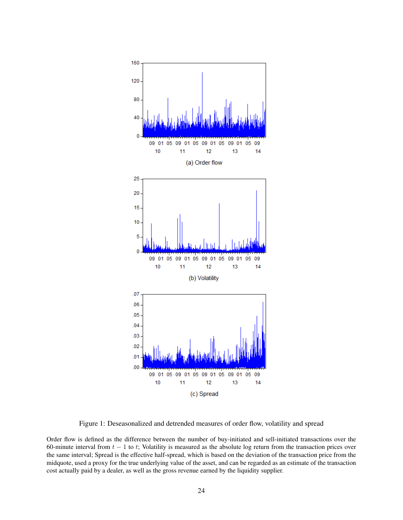

Figure 1: Deseasonalized and detrended measures of order flow, volatility and spread

Order flow is defined as the difference between the number of buy-initiated and sell-initiated transactions over the 60-minute interval from  $t - 1$  to t; Volatility is measured as the absolute log return from the transaction prices over the same interval; Spread is the effective half-spread, which is based on the deviation of the transaction price from the midquote, used a proxy for the true underlying value of the asset, and can be regarded as an estimate of the transaction cost actually paid by a dealer, as well as the gross revenue earned by the liquidity supplier.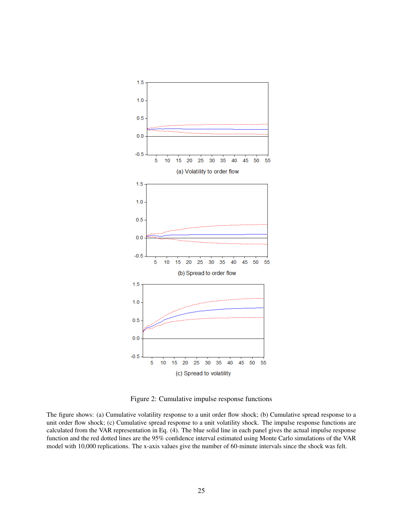

Figure 2: Cumulative impulse response functions

The figure shows: (a) Cumulative volatility response to a unit order flow shock; (b) Cumulative spread response to a unit order flow shock; (c) Cumulative spread response to a unit volatility shock. The impulse response functions are calculated from the VAR representation in Eq. (4). The blue solid line in each panel gives the actual impulse response function and the red dotted lines are the 95% confidence interval estimated using Monte Carlo simulations of the VAR model with 10,000 replications. The x-axis values give the number of 60-minute intervals since the shock was felt.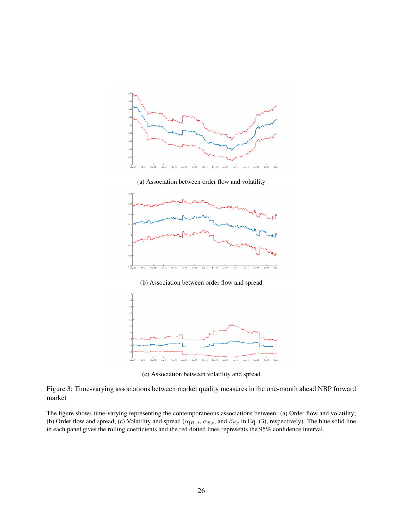

(a) Association between order flow and volatility



(b) Association between order flow and spread



(c) Association between volatility and spread

Figure 3: Time-varying associations between market quality measures in the one-month ahead NBP forward market

The figure shows time-varying representing the contemporaneous associations between: (a) Order flow and volatility; (b) Order flow and spread; (c) Volatility and spread ( $\alpha_{|R|,t}$ ,  $\alpha_{S,t}$ , and  $\beta_{S,t}$  in Eq. (3), respectively). The blue solid line in each panel gives the rolling coefficients and the red dotted lines represents the 95% confidence interval.